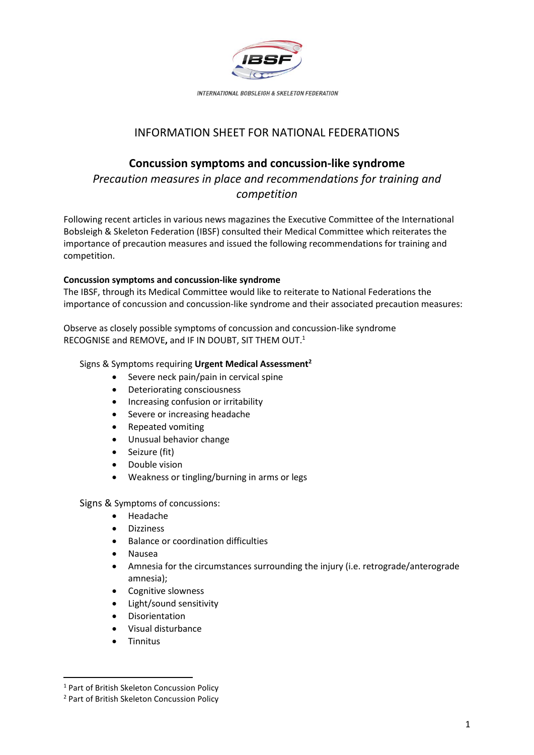

INTERNATIONAL BOBSLEIGH & SKELETON FEDERATION

## INFORMATION SHEET FOR NATIONAL FEDERATIONS

# **Concussion symptoms and concussion-like syndrome**

*Precaution measures in place and recommendations for training and competition*

Following recent articles in various news magazines the Executive Committee of the International Bobsleigh & Skeleton Federation (IBSF) consulted their Medical Committee which reiterates the importance of precaution measures and issued the following recommendations for training and competition.

## **Concussion symptoms and concussion-like syndrome**

The IBSF, through its Medical Committee would like to reiterate to National Federations the importance of concussion and concussion-like syndrome and their associated precaution measures:

Observe as closely possible symptoms of concussion and concussion-like syndrome RECOGNISE and REMOVE**,** and IF IN DOUBT, SIT THEM OUT. 1

## Signs & Symptoms requiring **Urgent Medical Assessment<sup>2</sup>**

- Severe neck pain/pain in cervical spine
- Deteriorating consciousness
- Increasing confusion or irritability
- Severe or increasing headache
- Repeated vomiting
- Unusual behavior change
- Seizure (fit)
- Double vision
- Weakness or tingling/burning in arms or legs

Signs & Symptoms of concussions:

- Headache
- Dizziness
- Balance or coordination difficulties
- Nausea
- Amnesia for the circumstances surrounding the injury (i.e. retrograde/anterograde amnesia);
- Cognitive slowness
- Light/sound sensitivity
- **Disorientation**
- Visual disturbance
- Tinnitus

<sup>&</sup>lt;sup>1</sup> Part of British Skeleton Concussion Policy

<sup>2</sup> Part of British Skeleton Concussion Policy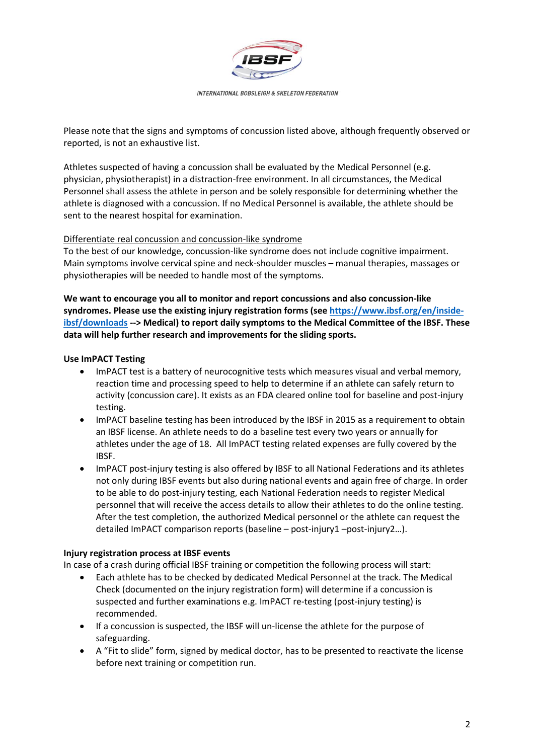

INTERNATIONAL BOBSLEIGH & SKELETON FEDERATION

Please note that the signs and symptoms of concussion listed above, although frequently observed or reported, is not an exhaustive list.

Athletes suspected of having a concussion shall be evaluated by the Medical Personnel (e.g. physician, physiotherapist) in a distraction-free environment. In all circumstances, the Medical Personnel shall assess the athlete in person and be solely responsible for determining whether the athlete is diagnosed with a concussion. If no Medical Personnel is available, the athlete should be sent to the nearest hospital for examination.

### Differentiate real concussion and concussion-like syndrome

To the best of our knowledge, concussion-like syndrome does not include cognitive impairment. Main symptoms involve cervical spine and neck-shoulder muscles – manual therapies, massages or physiotherapies will be needed to handle most of the symptoms.

**We want to encourage you all to monitor and report concussions and also concussion-like syndromes. Please use the existing injury registration forms (se[e https://www.ibsf.org/en/inside](https://www.ibsf.org/en/inside-ibsf/downloads)[ibsf/downloads](https://www.ibsf.org/en/inside-ibsf/downloads) --> Medical) to report daily symptoms to the Medical Committee of the IBSF. These data will help further research and improvements for the sliding sports.**

## **Use ImPACT Testing**

- ImPACT test is a battery of neurocognitive tests which measures visual and verbal memory, reaction time and processing speed to help to determine if an athlete can safely return to activity (concussion care). It exists as an FDA cleared online tool for baseline and post-injury testing.
- ImPACT baseline testing has been introduced by the IBSF in 2015 as a requirement to obtain an IBSF license. An athlete needs to do a baseline test every two years or annually for athletes under the age of 18. All ImPACT testing related expenses are fully covered by the IBSF.
- ImPACT post-injury testing is also offered by IBSF to all National Federations and its athletes not only during IBSF events but also during national events and again free of charge. In order to be able to do post-injury testing, each National Federation needs to register Medical personnel that will receive the access details to allow their athletes to do the online testing. After the test completion, the authorized Medical personnel or the athlete can request the detailed ImPACT comparison reports (baseline – post-injury1 –post-injury2…).

### **Injury registration process at IBSF events**

In case of a crash during official IBSF training or competition the following process will start:

- Each athlete has to be checked by dedicated Medical Personnel at the track. The Medical Check (documented on the injury registration form) will determine if a concussion is suspected and further examinations e.g. ImPACT re-testing (post-injury testing) is recommended.
- If a concussion is suspected, the IBSF will un-license the athlete for the purpose of safeguarding.
- A "Fit to slide" form, signed by medical doctor, has to be presented to reactivate the license before next training or competition run.